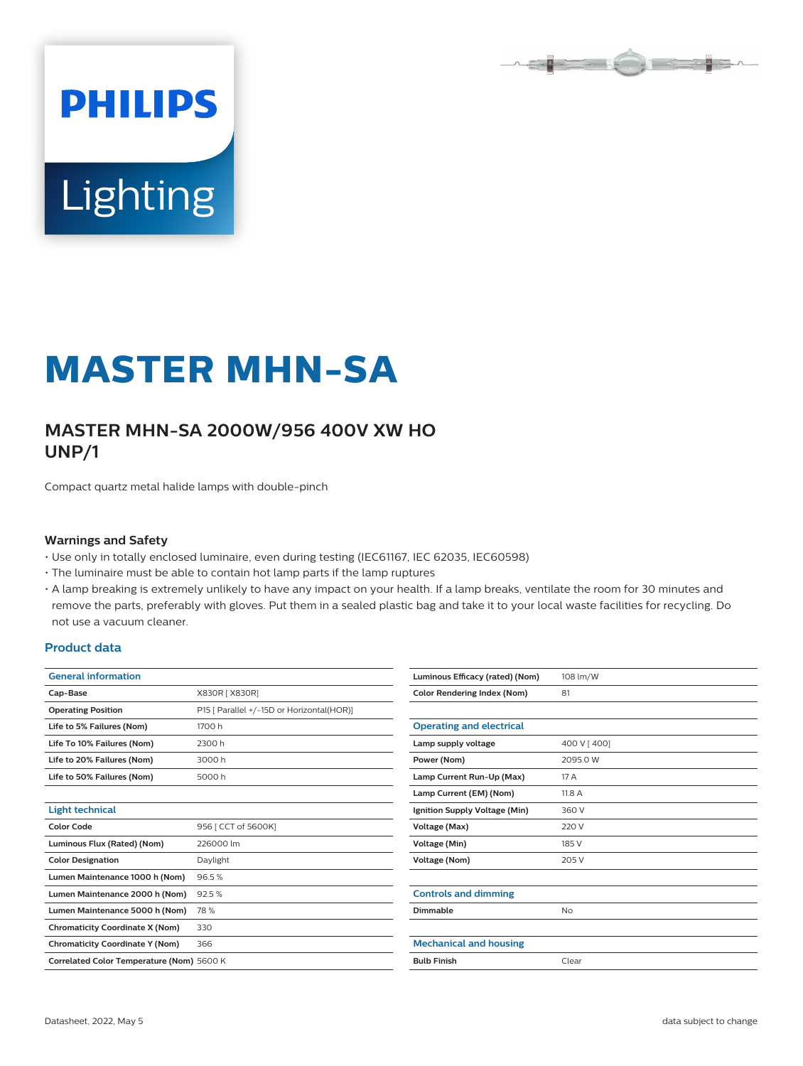

# Lighting

**PHILIPS** 

# **MASTER MHN-SA**

# **MASTER MHN-SA 2000W/956 400V XW HO UNP/1**

Compact quartz metal halide lamps with double-pinch

#### **Warnings and Safety**

- Use only in totally enclosed luminaire, even during testing (IEC61167, IEC 62035, IEC60598)
- The luminaire must be able to contain hot lamp parts if the lamp ruptures

• A lamp breaking is extremely unlikely to have any impact on your health. If a lamp breaks, ventilate the room for 30 minutes and remove the parts, preferably with gloves. Put them in a sealed plastic bag and take it to your local waste facilities for recycling. Do not use a vacuum cleaner.

#### **Product data**

| <b>General information</b>                |                                           | Luminous Efficacy (rated) (Nom)    | 108 lm/W    |  |
|-------------------------------------------|-------------------------------------------|------------------------------------|-------------|--|
| Cap-Base                                  | X830R [ X830R]                            | <b>Color Rendering Index (Nom)</b> | 81          |  |
| <b>Operating Position</b>                 | P15 [ Parallel +/-15D or Horizontal(HOR)] |                                    |             |  |
| Life to 5% Failures (Nom)                 | 1700 h                                    | <b>Operating and electrical</b>    |             |  |
| Life To 10% Failures (Nom)                | 2300 h                                    | Lamp supply voltage                | 400 V [400] |  |
| Life to 20% Failures (Nom)                | 3000h                                     | Power (Nom)                        | 2095.0 W    |  |
| Life to 50% Failures (Nom)                | 5000h                                     | Lamp Current Run-Up (Max)          | 17 A        |  |
|                                           |                                           | Lamp Current (EM) (Nom)            | 11.8 A      |  |
| <b>Light technical</b>                    |                                           | Ignition Supply Voltage (Min)      | 360 V       |  |
| <b>Color Code</b>                         | 956   CCT of 5600K]                       | Voltage (Max)                      | 220 V       |  |
| Luminous Flux (Rated) (Nom)               | 226000 lm                                 | Voltage (Min)                      | 185 V       |  |
| <b>Color Designation</b>                  | Daylight                                  | Voltage (Nom)                      | 205 V       |  |
| Lumen Maintenance 1000 h (Nom)            | 96.5%                                     |                                    |             |  |
| Lumen Maintenance 2000 h (Nom)            | 92.5%                                     | <b>Controls and dimming</b>        |             |  |
| Lumen Maintenance 5000 h (Nom)            | 78%                                       | Dimmable                           | <b>No</b>   |  |
| <b>Chromaticity Coordinate X (Nom)</b>    | 330                                       |                                    |             |  |
| <b>Chromaticity Coordinate Y (Nom)</b>    | 366                                       | <b>Mechanical and housing</b>      |             |  |
| Correlated Color Temperature (Nom) 5600 K |                                           | <b>Bulb Finish</b>                 | Clear       |  |
|                                           |                                           |                                    |             |  |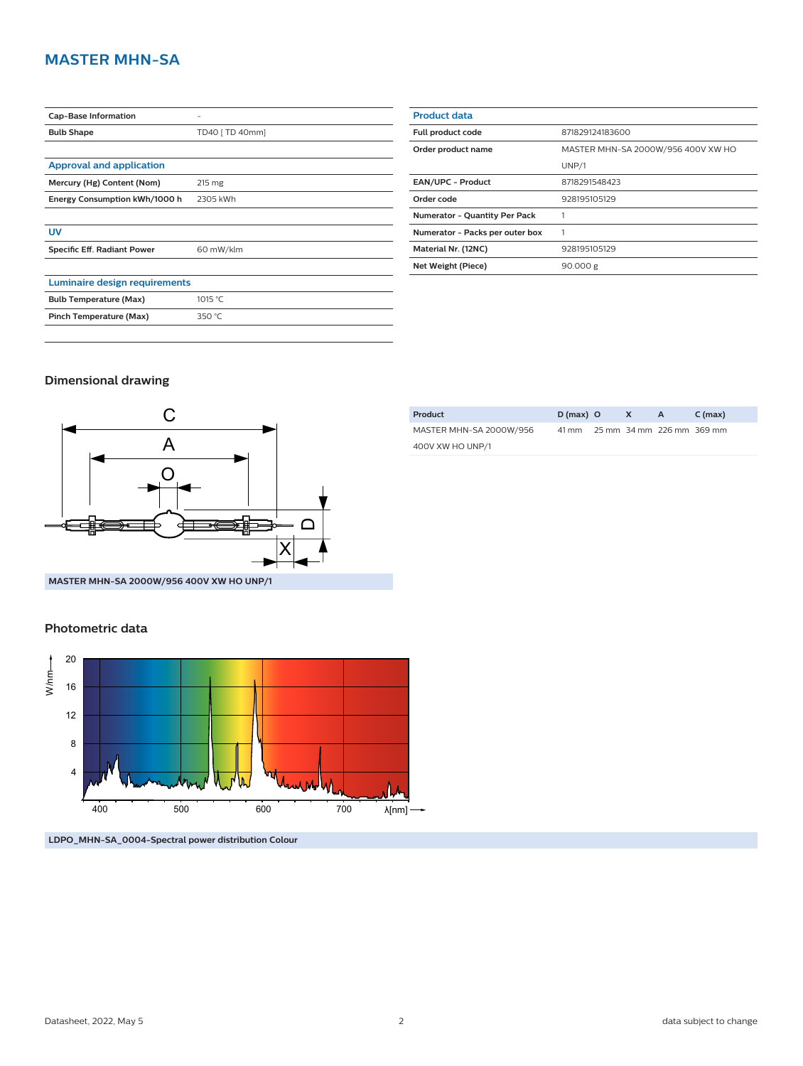## **MASTER MHN-SA**

| <b>Cap-Base Information</b>     |                 |  |  |  |
|---------------------------------|-----------------|--|--|--|
| <b>Bulb Shape</b>               | TD40 [ TD 40mm] |  |  |  |
|                                 |                 |  |  |  |
| <b>Approval and application</b> |                 |  |  |  |
| Mercury (Hg) Content (Nom)      | 215 mg          |  |  |  |
| Energy Consumption kWh/1000 h   | 2305 kWh        |  |  |  |
|                                 |                 |  |  |  |
| UV                              |                 |  |  |  |
| Specific Eff. Radiant Power     | 60 mW/klm       |  |  |  |
|                                 |                 |  |  |  |
| Luminaire design requirements   |                 |  |  |  |
| <b>Bulb Temperature (Max)</b>   | 1015 °C         |  |  |  |
| Pinch Temperature (Max)         | 350 °C          |  |  |  |

| <b>Product data</b>                  |                                    |  |  |  |
|--------------------------------------|------------------------------------|--|--|--|
| Full product code                    | 871829124183600                    |  |  |  |
| Order product name                   | MASTER MHN-SA 2000W/956 400V XW HO |  |  |  |
|                                      | UNP/1                              |  |  |  |
| <b>EAN/UPC - Product</b>             | 8718291548423                      |  |  |  |
| Order code                           | 928195105129                       |  |  |  |
| <b>Numerator - Quantity Per Pack</b> | 1                                  |  |  |  |
| Numerator - Packs per outer box      |                                    |  |  |  |
| Material Nr. (12NC)                  | 928195105129                       |  |  |  |
| Net Weight (Piece)                   | 90.000 g                           |  |  |  |
|                                      |                                    |  |  |  |

#### **Dimensional drawing**



**MASTER MHN-SA 2000W/956 400V XW HO UNP/1**

#### **Photometric data**





| Product                 | $D(max)$ O | X A |                                 | C (max) |
|-------------------------|------------|-----|---------------------------------|---------|
| MASTER MHN-SA 2000W/956 |            |     | 41 mm 25 mm 34 mm 226 mm 369 mm |         |
| 400V XW HO UNP/1        |            |     |                                 |         |